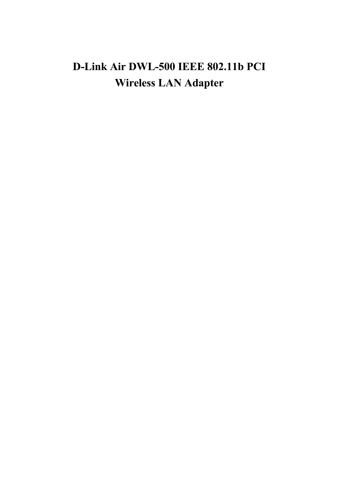# D-Link Air DWL-500 IEEE 802.11b PCI **Wireless LAN Adapter**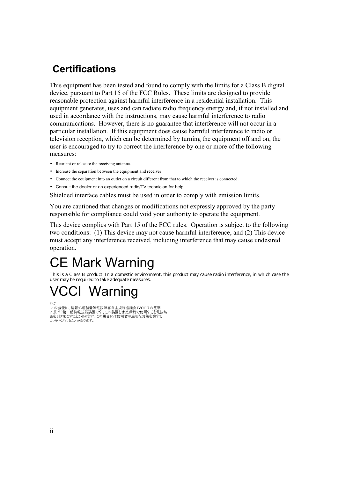## **Certifications**

This equipment has been tested and found to comply with the limits for a Class B digital device, pursuant to Part 15 of the FCC Rules. These limits are designed to provide reasonable protection against harmful interference in a residential installation. This equipment generates, uses and can radiate radio frequency energy and, if not installed and used in accordance with the instructions, may cause harmful interference to radio communications. However, there is no guarantee that interference will not occur in a particular installation. If this equipment does cause harmful interference to radio or television reception, which can be determined by turning the equipment off and on, the user is encouraged to try to correct the interference by one or more of the following measures:

- Reorient or relocate the receiving antenna.
- Increase the separation between the equipment and receiver.
- Connect the equipment into an outlet on a circuit different from that to which the receiver is connected.
- Consult the dealer or an experienced radio/TV technician for help.

Shielded interface cables must be used in order to comply with emission limits.

You are cautioned that changes or modifications not expressly approved by the party responsible for compliance could void your authority to operate the equipment.

This device complies with Part 15 of the FCC rules. Operation is subject to the following two conditions: (1) This device may not cause harmful interference, and (2) This device must accept any interference received, including interference that may cause undesired operation.

# **CE Mark Warning**

This is a Class B product. In a domestic environment, this product may cause radio interference, in which case the user may be required to take adequate measures.

# **VCCI Warning**

注意<br>この装置は、情報処理装置等電波障害自主規制協議会(VCCI)の基準 、この表には、同形な生表直すもいや。ローエル『の感感系覚で使用すると電波妨害を選び、自分を実現を受けていることを考えている。<br>「これでは、この要素が要素です。この装置を家庭環境で使用すると電波妨<br>これでは、この場合には使用者が適切な対策を講ずる よう要求されることがあります。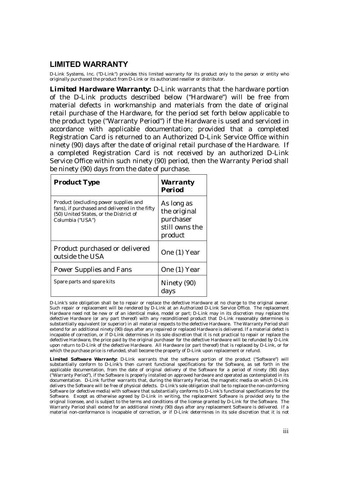### **LIMITED WARRANTY**

D-Link Systems, Inc. ("D-Link") provides this limited warranty for its product only to the person or entity who originally purchased the product from D-Link or its authorized reseller or distributor.

*Limited Hardware Warranty:* D-Link warrants that the hardware portion of the D-Link products described below ("Hardware") will be free from material defects in workmanship and materials from the date of original retail purchase of the Hardware, for the period set forth below applicable to the product type ("Warranty Period") if the Hardware is used and serviced in accordance with applicable documentation; provided that a completed Registration Card is returned to an Authorized D-Link Service Office within ninety (90) days after the date of original retail purchase of the Hardware. If a completed Registration Card is not received by an authorized D-Link Service Office within such ninety (90) period, then the Warranty Period shall be ninety (90) days from the date of purchase.

| <b>Product Type</b>                                                                                                                                   | <b>Warranty</b><br><b>Period</b>                                     |
|-------------------------------------------------------------------------------------------------------------------------------------------------------|----------------------------------------------------------------------|
| Product (excluding power supplies and<br>fans), if purchased and delivered in the fifty<br>(50) United States, or the District of<br>Columbia ("USA") | As long as<br>the original<br>purchaser<br>still owns the<br>product |
| Product purchased or delivered<br>outside the USA                                                                                                     | One (1) Year                                                         |
| <b>Power Supplies and Fans</b>                                                                                                                        | One (1) Year                                                         |
| Spare parts and spare kits                                                                                                                            | Ninety (90)<br>days                                                  |

D-Link's sole obligation shall be to repair or replace the defective Hardware at no charge to the original owner. Such repair or replacement will be rendered by D-Link at an Authorized D-Link Service Office. The replacement Hardware need not be new or of an identical make, model or part; D-Link may in its discretion may replace the defective Hardware (or any part thereof) with any reconditioned product that D-Link reasonably determines is substantially equivalent (or superior) in all material respects to the defective Hardware. The Warranty Period shall extend for an additional ninety (90) days after any repaired or replaced Hardware is delivered. If a material defect is incapable of correction, or if D-Link determines in its sole discretion that it is not practical to repair or replace the defective Hardware, the price paid by the original purchaser for the defective Hardware will be refunded by D-Link upon return to D-Link of the defective Hardware. All Hardware (or part thereof) that is replaced by D-Link, or for which the purchase price is refunded, shall become the property of D-Link upon replacement or refund.

*Limited Software Warranty:* D-Link warrants that the software portion of the product ("Software") will substantially conform to D-Link's then current functional specifications for the Software, as set forth in the applicable documentation, from the date of original delivery of the Software for a period of ninety (90) days ("Warranty Period"), if the Software is properly installed on approved hardware and operated as contemplated in its documentation. D-Link further warrants that, during the Warranty Period, the magnetic media on which D-Link delivers the Software will be free of physical defects. D-Link's sole obligation shall be to replace the non-conforming Software (or defective media) with software that substantially conforms to D-Link's functional specifications for the Software. Except as otherwise agreed by D-Link in writing, the replacement Software is provided only to the original licensee, and is subject to the terms and conditions of the license granted by D-Link for the Software. The Warranty Period shall extend for an additional ninety (90) days after any replacement Software is delivered. If a material non-conformance is incapable of correction, or if D-Link determines in its sole discretion that it is not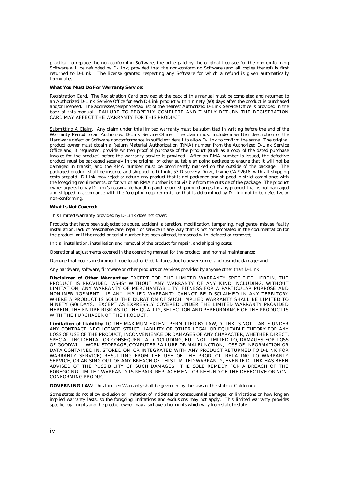practical to replace the non-conforming Software, the price paid by the original licensee for the non-conforming Software will be refunded by D-Link; provided that the non-conforming Software (and all copies thereof) is first returned to D-Link. The license granted respecting any Software for which a refund is given automatically terminates.

#### *What You Must Do For Warranty Service:*

Registration Card. The Registration Card provided at the back of this manual must be completed and returned to an Authorized D-Link Service Office for each D-Link product within ninety (90) days after the product is purchased and/or licensed. The addresses/telephone/fax list of the nearest Authorized D-Link Service Office is provided in the back of this manual. FAILURE TO PROPERLY COMPLETE AND TIMELY RETURN THE REGISTRATION CARD MAY AFFECT THE WARRANTY FOR THIS PRODUCT.

Submitting A Claim. Any claim under this limited warranty must be submitted in writing before the end of the Warranty Period to an Authorized D-Link Service Office. The claim must include a written description of the Hardware defect or Software nonconformance in sufficient detail to allow D-Link to confirm the same. The original product owner must obtain a Return Material Authorization (RMA) number from the Authorized D-Link Service Office and, if requested, provide written proof of purchase of the product (such as a copy of the dated purchase invoice for the product) before the warranty service is provided. After an RMA number is issued, the defective product must be packaged securely in the original or other suitable shipping package to ensure that it will not be damaged in transit, and the RMA number must be prominently marked on the outside of the package. The packaged product shall be insured and shipped to D-Link, 53 Discovery Drive, Irvine CA 92618, with all shipping costs prepaid. D-Link may reject or return any product that is not packaged and shipped in strict compliance with the foregoing requirements, or for which an RMA number is not visible from the outside of the package. The product owner agrees to pay D-Link's reasonable handling and return shipping charges for any product that is not packaged and shipped in accordance with the foregoing requirements, or that is determined by D-Link not to be defective or non-conforming.

#### *What Is Not Covered:*

This limited warranty provided by D-Link does not cover:

Products that have been subjected to abuse, accident, alteration, modification, tampering, negligence, misuse, faulty installation, lack of reasonable care, repair or service in any way that is not contemplated in the documentation for the product, or if the model or serial number has been altered, tampered with, defaced or removed;

Initial installation, installation and removal of the product for repair, and shipping costs;

Operational adjustments covered in the operating manual for the product, and normal maintenance;

Damage that occurs in shipment, due to act of God, failures due to power surge, and cosmetic damage; and

Any hardware, software, firmware or other products or services provided by anyone other than D-Link.

*Disclaimer of Other Warranties:* EXCEPT FOR THE LIMITED WARRANTY SPECIFIED HEREIN, THE PRODUCT IS PROVIDED "AS-IS" WITHOUT ANY WARRANTY OF ANY KIND INCLUDING, WITHOUT LIMITATION, ANY WARRANTY OF MERCHANTABILITY, FITNESS FOR A PARTICULAR PURPOSE AND NON-INFRINGEMENT. IF ANY IMPLIED WARRANTY CANNOT BE DISCLAIMED IN ANY TERRITORY WHERE A PRODUCT IS SOLD, THE DURATION OF SUCH IMPLIED WARRANTY SHALL BE LIMITED TO NINETY (90) DAYS. EXCEPT AS EXPRESSLY COVERED UNDER THE LIMITED WARRANTY PROVIDED HEREIN, THE ENTIRE RISK AS TO THE QUALITY, SELECTION AND PERFORMANCE OF THE PRODUCT IS WITH THE PURCHASER OF THE PRODUCT.

*Limitation of Liability:* TO THE MAXIMUM EXTENT PERMITTED BY LAW, D-LINK IS NOT LIABLE UNDER ANY CONTRACT, NEGLIGENCE, STRICT LIABILITY OR OTHER LEGAL OR EQUITABLE THEORY FOR ANY LOSS OF USE OF THE PRODUCT, INCONVENIENCE OR DAMAGES OF ANY CHARACTER, WHETHER DIRECT, SPECIAL, INCIDENTAL OR CONSEQUENTIAL (INCLUDING, BUT NOT LIMITED TO, DAMAGES FOR LOSS OF GOODWILL, WORK STOPPAGE, COMPUTER FAILURE OR MALFUNCTION, LOSS OF INFORMATION OR DATA CONTAINED IN, STORED ON, OR INTEGRATED WITH ANY PRODUCT RETURNED TO D-LINK FOR WARRANTY SERVICE) RESULTING FROM THE USE OF THE PRODUCT, RELATING TO WARRANTY SERVICE, OR ARISING OUT OF ANY BREACH OF THIS LIMITED WARRANTY, EVEN IF D-LINK HAS BEEN ADVISED OF THE POSSIBILITY OF SUCH DAMAGES. THE SOLE REMEDY FOR A BREACH OF THE FOREGOING LIMITED WARRANTY IS REPAIR, REPLACEMENT OR REFUND OF THE DEFECTIVE OR NON-CONFORMING PRODUCT.

*GOVERNING LAW*: This Limited Warranty shall be governed by the laws of the state of California.

Some states do not allow exclusion or limitation of incidental or consequential damages, or limitations on how long an implied warranty lasts, so the foregoing limitations and exclusions may not apply. This limited warranty provides specific legal rights and the product owner may also have other rights which vary from state to state.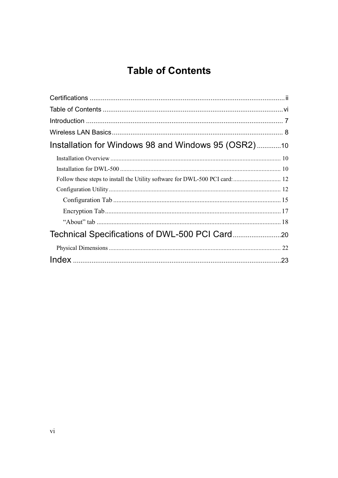## **Table of Contents**

| Installation for Windows 98 and Windows 95 (OSR2)10 |  |
|-----------------------------------------------------|--|
|                                                     |  |
|                                                     |  |
|                                                     |  |
|                                                     |  |
|                                                     |  |
|                                                     |  |
|                                                     |  |
|                                                     |  |
|                                                     |  |
|                                                     |  |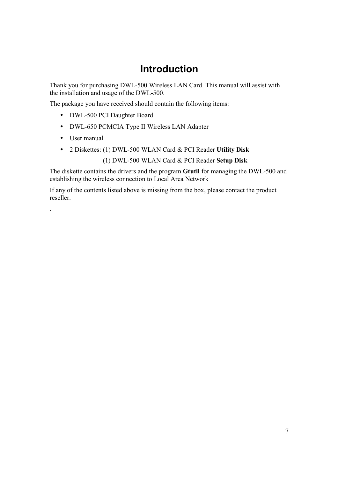## **Introduction**

Thank you for purchasing DWL-500 Wireless LAN Card. This manual will assist with the installation and usage of the DWL-500.

The package you have received should contain the following items:

- DWL-500 PCI Daughter Board
- DWL-650 PCMCIA Type II Wireless LAN Adapter
- User manual
- 2 Diskettes: (1) DWL-500 WLAN Card & PCI Reader Utility Disk

(1) DWL-500 WLAN Card & PCI Reader Setup Disk

The diskette contains the drivers and the program Gtutil for managing the DWL-500 and establishing the wireless connection to Local Area Network

If any of the contents listed above is missing from the box, please contact the product reseller.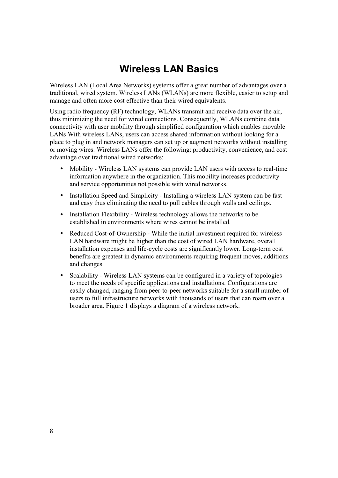## **Wireless LAN Basics**

Wireless LAN (Local Area Networks) systems offer a great number of advantages over a traditional, wired system. Wireless LANs (WLANs) are more flexible, easier to setup and manage and often more cost effective than their wired equivalents.

Using radio frequency (RF) technology, WLANs transmit and receive data over the air, thus minimizing the need for wired connections. Consequently, WLANs combine data connectivity with user mobility through simplified configuration which enables movable LANs With wireless LANs, users can access shared information without looking for a place to plug in and network managers can set up or augment networks without installing or moving wires. Wireless LANs offer the following: productivity, convenience, and cost advantage over traditional wired networks:

- Mobility Wireless LAN systems can provide LAN users with access to real-time  $\bullet$ information anywhere in the organization. This mobility increases productivity and service opportunities not possible with wired networks.
- Installation Speed and Simplicity Installing a wireless LAN system can be fast and easy thus eliminating the need to pull cables through walls and ceilings.
- Installation Flexibility Wireless technology allows the networks to be established in environments where wires cannot be installed.
- Reduced Cost-of-Ownership While the initial investment required for wireless LAN hardware might be higher than the cost of wired LAN hardware, overall installation expenses and life-cycle costs are significantly lower. Long-term cost benefits are greatest in dynamic environments requiring frequent moves, additions and changes.
- Scalability Wireless LAN systems can be configured in a variety of topologies  $\bullet$ to meet the needs of specific applications and installations. Configurations are easily changed, ranging from peer-to-peer networks suitable for a small number of users to full infrastructure networks with thousands of users that can roam over a broader area. Figure 1 displays a diagram of a wireless network.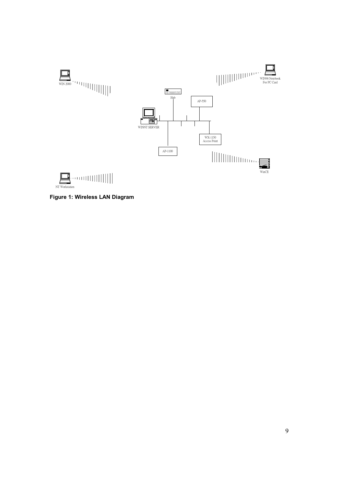

Figure 1: Wireless LAN Diagram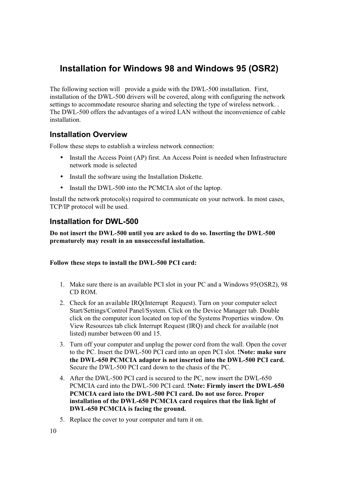## Installation for Windows 98 and Windows 95 (OSR2)

The following section will provide a guide with the DWL-500 installation. First, installation of the DWL-500 drivers will be covered, along with configuring the network settings to accommodate resource sharing and selecting the type of wireless network. The DWL-500 offers the advantages of a wired LAN without the inconvenience of cable installation.

#### **Installation Overview**

Follow these steps to establish a wireless network connection:

- Install the Access Point (AP) first. An Access Point is needed when Infrastructure network mode is selected
- Install the software using the Installation Diskette.
- Install the DWL-500 into the PCMCIA slot of the laptop.

Install the network protocol(s) required to communicate on your network. In most cases, TCP/IP protocol will be used.

#### **Installation for DWL-500**

Do not insert the DWL-500 until you are asked to do so. Inserting the DWL-500 prematurely may result in an unsuccessful installation.

#### Follow these steps to install the DWL-500 PCI card:

- 1. Make sure there is an available PCI slot in your PC and a Windows 95(OSR2), 98 CD ROM
- 2. Check for an available IRO(Interrupt Request). Turn on your computer select Start/Settings/Control Panel/System. Click on the Device Manager tab. Double click on the computer icon located on top of the Systems Properties window. On View Resources tab click Interrupt Request (IRQ) and check for available (not listed) number between 00 and 15.
- 3. Turn off your computer and unplug the power cord from the wall. Open the cover to the PC. Insert the DWL-500 PCI card into an open PCI slot. **Note: make sure** the DWL-650 PCMCIA adapter is not inserted into the DWL-500 PCI card. Secure the DWL-500 PCI card down to the chasis of the PC.
- 4. After the DWL-500 PCI card is secured to the PC, now insert the DWL-650 PCMCIA card into the DWL-500 PCI card. !Note: Firmly insert the DWL-650 PCMCIA card into the DWL-500 PCI card. Do not use force. Proper installation of the DWL-650 PCMCIA card requires that the link light of DWL-650 PCMCIA is facing the ground.
- 5. Replace the cover to your computer and turn it on.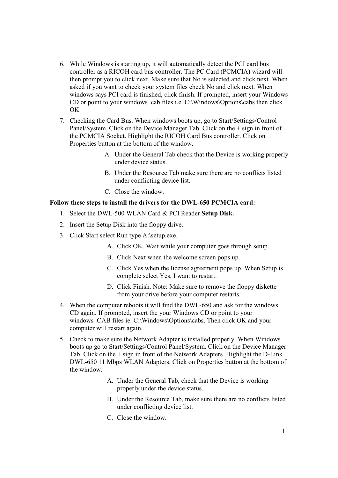- 6. While Windows is starting up, it will automatically detect the PCI card bus controller as a RICOH card bus controller. The PC Card (PCMCIA) wizard will then prompt you to click next. Make sure that No is selected and click next. When asked if you want to check your system files check No and click next. When windows says PCI card is finished, click finish. If prompted, insert your Windows CD or point to your windows .cab files i.e. C:\Windows\Options\cabs then click OK.
- 7. Checking the Card Bus. When windows boots up, go to Start/Settings/Control Panel/System. Click on the Device Manager Tab. Click on the + sign in front of the PCMCIA Socket. Highlight the RICOH Card Bus controller. Click on Properties button at the bottom of the window.
	- A. Under the General Tab check that the Device is working properly under device status.
	- B. Under the Resource Tab make sure there are no conflicts listed under conflicting device list.
	- $C$  Close the window

#### Follow these steps to install the drivers for the DWL-650 PCMCIA card:

- 1. Select the DWL-500 WLAN Card & PCI Reader Setup Disk.
- 2. Insert the Setup Disk into the floppy drive.
- 3. Click Start select Run type A:\setup.exe.
	- A. Click OK. Wait while your computer goes through setup.
	- B. Click Next when the welcome screen pops up.
	- C. Click Yes when the license agreement pops up. When Setup is complete select Yes, I want to restart.
	- D. Click Finish. Note: Make sure to remove the floppy diskette from your drive before your computer restarts.
- 4. When the computer reboots it will find the DWL-650 and ask for the windows CD again. If prompted, insert the your Windows CD or point to your windows .CAB files ie. C:\Windows\Options\cabs. Then click OK and your computer will restart again.
- 5. Check to make sure the Network Adapter is installed properly. When Windows boots up go to Start/Settings/Control Panel/System. Click on the Device Manager Tab. Click on the  $+$  sign in front of the Network Adapters. Highlight the D-Link DWL-650 11 Mbps WLAN Adapters. Click on Properties button at the bottom of the window.
	- A. Under the General Tab, check that the Device is working properly under the device status.
	- B. Under the Resource Tab, make sure there are no conflicts listed under conflicting device list.
	- C. Close the window.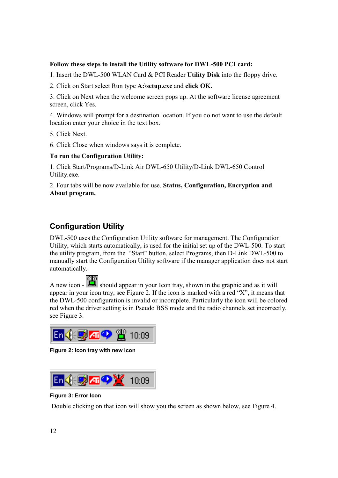#### Follow these steps to install the Utility software for DWL-500 PCI card:

1. Insert the DWL-500 WLAN Card & PCI Reader Utility Disk into the floppy drive.

2. Click on Start select Run type A:\setup.exe and click OK.

3. Click on Next when the welcome screen pops up. At the software license agreement screen, click Yes.

4. Windows will prompt for a destination location. If you do not want to use the default location enter your choice in the text box.

5. Click Next.

6. Click Close when windows says it is complete.

#### To run the Configuration Utility:

1. Click Start/Programs/D-Link Air DWL-650 Utility/D-Link DWL-650 Control Utility.exe.

2. Four tabs will be now available for use. Status, Configuration, Encryption and About program.

#### **Configuration Utility**

DWL-500 uses the Configuration Utility software for management. The Configuration Utility, which starts automatically, is used for the initial set up of the DWL-500. To start the utility program, from the "Start" button, select Programs, then D-Link DWL-500 to manually start the Configuration Utility software if the manager application does not start automatically.

A new icon - should appear in your Icon tray, shown in the graphic and as it will appear in your icon tray, see Figure 2. If the icon is marked with a red "X", it means that the DWL-500 configuration is invalid or incomplete. Particularly the icon will be colored red when the driver setting is in Pseudo BSS mode and the radio channels set incorrectly, see Figure 3.



Figure 2: Icon tray with new icon



#### **Figure 3: Error Icon**

Double clicking on that icon will show you the screen as shown below, see Figure 4.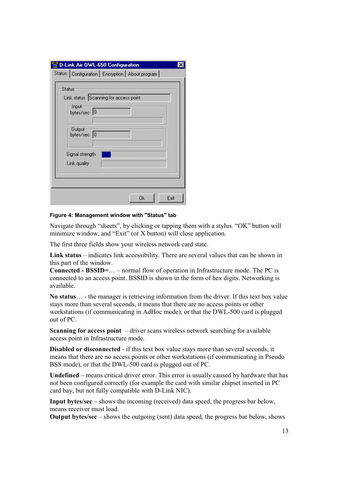|               | <b>D-Link Air DWL-650 Configuration</b>                                                                                   |  |
|---------------|---------------------------------------------------------------------------------------------------------------------------|--|
|               | Status   Configuration   Encryption   About program                                                                       |  |
| <b>Status</b> | Link status Scanning for access point<br>Input<br>bytes/sec 0<br>Output<br>bytes/sec 0<br>Signal strength<br>Link quality |  |
|               | Exit<br>Ok                                                                                                                |  |

Figure 4: Management window with "Status" tab

Navigate through "sheets", by clicking or tapping them with a stylus. "OK" button will minimize window, and "Exit" (or X button) will close application.

The first three fields show your wireless network card state.

Link status – indicates link accessibility. There are several values that can be shown in this part of the window.

**Connected - BSSID=...** – normal flow of operation in Infrastructure mode. The PC is connected to an access point. BSSID is shown in the form of hex digits. Networking is available.

No status... - the manager is retrieving information from the driver. If this text box value stays more than several seconds, it means that there are no access points or other workstations (if communicating in AdHoc mode), or that the DWL-500 card is plugged out of PC.

**Scanning for access point**  $-$  driver scans wireless network searching for available access point in Infrastructure mode.

**Disabled or disconnected** - if this text box value stays more than several seconds, it means that there are no access points or other workstations (if communicating in Pseudo BSS mode), or that the DWL-500 card is plugged out of PC.

**Undefined** – means critical driver error. This error is usually caused by hardware that has not been configured correctly (for example the card with similar chipset inserted in PC card bay, but not fully compatible with D-Link NIC).

**Input bytes/sec** – shows the incoming (received) data speed, the progress bar below. means receiver must load.

**Output bytes/sec** – shows the outgoing (sent) data speed, the progress bar below, shows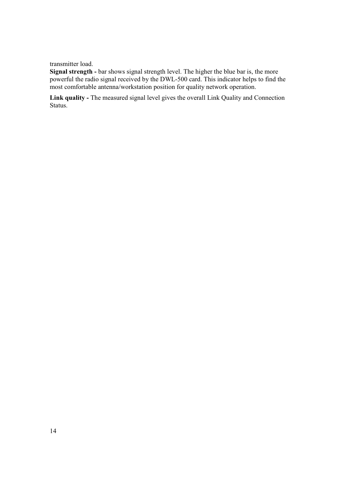transmitter load.

Signal strength - bar shows signal strength level. The higher the blue bar is, the more powerful the radio signal received by the DWL-500 card. This indicator helps to find the most comfortable antenna/workstation position for quality network operation.

Link quality - The measured signal level gives the overall Link Quality and Connection Status.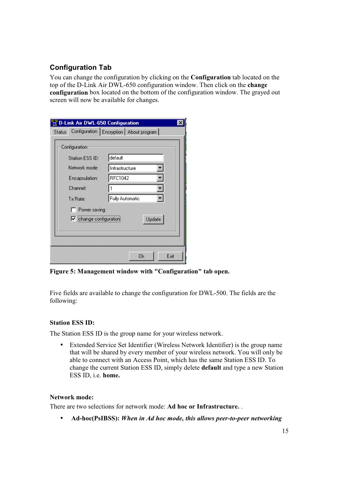#### **Configuration Tab**

You can change the configuration by clicking on the **Configuration** tab located on the top of the D-Link Air DWL-650 configuration window. Then click on the change configuration box located on the bottom of the configuration window. The grayed out screen will now be available for changes.

|               |                               | <b>D-Link Air DWL-650 Configuration</b>    |  |
|---------------|-------------------------------|--------------------------------------------|--|
| <b>Status</b> |                               | Configuration   Encryption   About program |  |
|               | Configuration                 |                                            |  |
|               | Station ESS ID:               | default                                    |  |
|               | Network mode:                 | Infrastructure                             |  |
|               | Encapsulation:                | RFC1042                                    |  |
|               | Channel:                      |                                            |  |
|               | Tx Rate:                      | Fully Automatic                            |  |
|               | Power saving                  |                                            |  |
|               | $\nabla$ change configuration | Update                                     |  |
|               |                               |                                            |  |
|               |                               |                                            |  |
|               |                               |                                            |  |
|               |                               | Exit<br>Οk                                 |  |

Figure 5: Management window with "Configuration" tab open.

Five fields are available to change the configuration for DWL-500. The fields are the following:

#### **Station ESS ID:**

The Station ESS ID is the group name for your wireless network.

Extended Service Set Identifier (Wireless Network Identifier) is the group name  $\bullet$ that will be shared by every member of your wireless network. You will only be able to connect with an Access Point, which has the same Station ESS ID. To change the current Station ESS ID, simply delete **default** and type a new Station ESS ID, i.e. home.

#### **Network mode:**

There are two selections for network mode: Ad hoc or Infrastructure...

Ad-hoc(PsIBSS): When in Ad hoc mode, this allows peer-to-peer networking  $\bullet$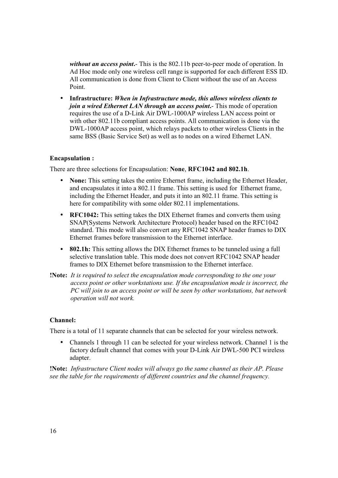without an access point. This is the 802.11b peer-to-peer mode of operation. In Ad Hoc mode only one wireless cell range is supported for each different ESS ID. All communication is done from Client to Client without the use of an Access Point

• Infrastructure: When in Infrastructure mode, this allows wireless clients to join a wired Ethernet LAN through an access point. This mode of operation requires the use of a D-Link Air DWL-1000AP wireless LAN access point or with other 802.11b compliant access points. All communication is done via the DWL-1000AP access point, which relays packets to other wireless Clients in the same BSS (Basic Service Set) as well as to nodes on a wired Ethernet LAN.

#### **Encapsulation:**

There are three selections for Encapsulation: None, RFC1042 and 802.1h.

- $\bullet$ **None:** This setting takes the entire Ethernet frame, including the Ethernet Header, and encapsulates it into a 802.11 frame. This setting is used for Ethernet frame, including the Ethernet Header, and puts it into an 802.11 frame. This setting is here for compatibility with some older 802.11 implementations.
- RFC1042: This setting takes the DIX Ethernet frames and converts them using SNAP(Systems Network Architecture Protocol) header based on the RFC1042 standard. This mode will also convert any RFC1042 SNAP header frames to DIX Ethernet frames before transmission to the Ethernet interface.
- 802.1h: This setting allows the DIX Ethernet frames to be tunneled using a full selective translation table. This mode does not convert RFC1042 SNAP header frames to DIX Ethernet before transmission to the Ethernet interface.
- **Note:** It is required to select the encapsulation mode corresponding to the one your access point or other workstations use. If the encapsulation mode is incorrect, the PC will join to an access point or will be seen by other workstations, but network operation will not work.

#### Channel:

There is a total of 11 separate channels that can be selected for your wireless network.

Channels 1 through 11 can be selected for your wireless network. Channel 1 is the  $\bullet$ factory default channel that comes with your D-Link Air DWL-500 PCI wireless adapter.

**!Note:** Infrastructure Client nodes will always go the same channel as their AP. Please see the table for the requirements of different countries and the channel frequency.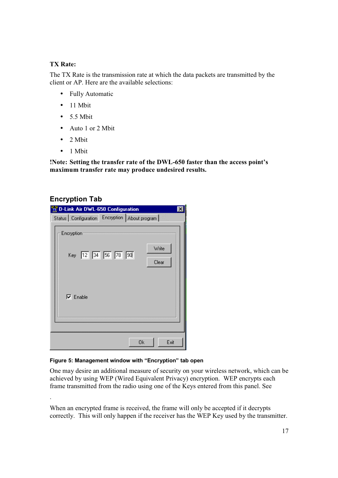#### **TX Rate:**

The TX Rate is the transmission rate at which the data packets are transmitted by the client or AP. Here are the available selections:

- Fully Automatic
- $\bullet$  11 Mbit
- $\bullet$  5.5 Mbit
- $\bullet$  Auto 1 or 2 Mbit
- $\bullet$  2 Mbit
- $\bullet$  1 Mbit

!Note: Setting the transfer rate of the DWL-650 faster than the access point's maximum transfer rate may produce undesired results.

#### **Encryption Tab**

| D-Link Air DWL-650 Configuration                  |  |    |                |  |
|---------------------------------------------------|--|----|----------------|--|
| Status   Configuration Encryption   About program |  |    |                |  |
| Encryption<br>Key 12 34 56 78 90                  |  |    | Write<br>Clear |  |
| $\nabla$ Enable                                   |  |    |                |  |
|                                                   |  |    |                |  |
|                                                   |  | 0k | Exit           |  |

#### Figure 5: Management window with "Encryption" tab open

One may desire an additional measure of security on your wireless network, which can be achieved by using WEP (Wired Equivalent Privacy) encryption. WEP encrypts each frame transmitted from the radio using one of the Keys entered from this panel. See

When an encrypted frame is received, the frame will only be accepted if it decrypts correctly. This will only happen if the receiver has the WEP Key used by the transmitter.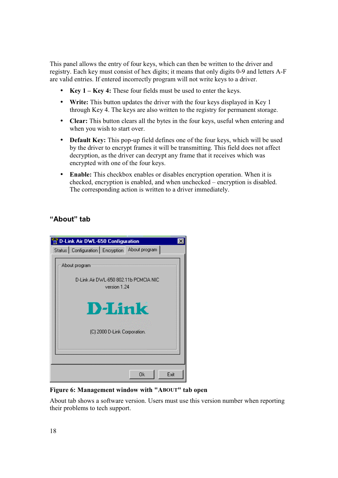This panel allows the entry of four keys, which can then be written to the driver and registry. Each key must consist of hex digits; it means that only digits 0-9 and letters A-F are valid entries. If entered incorrectly program will not write keys to a driver.

- Key  $1 -$  Key 4: These four fields must be used to enter the keys.
- Write: This button updates the driver with the four keys displayed in Key 1 through Key 4. The keys are also written to the registry for permanent storage.
- Clear: This button clears all the bytes in the four keys, useful when entering and when you wish to start over.
- Default Key: This pop-up field defines one of the four keys, which will be used by the driver to encrypt frames it will be transmitting. This field does not affect decryption, as the driver can decrypt any frame that it receives which was encrypted with one of the four keys.
- Enable: This checkbox enables or disables encryption operation. When it is checked, encryption is enabled, and when unchecked – encryption is disabled. The corresponding action is written to a driver immediately.

#### "About" tab



Figure 6: Management window with "ABOUT" tab open

About tab shows a software version. Users must use this version number when reporting their problems to tech support.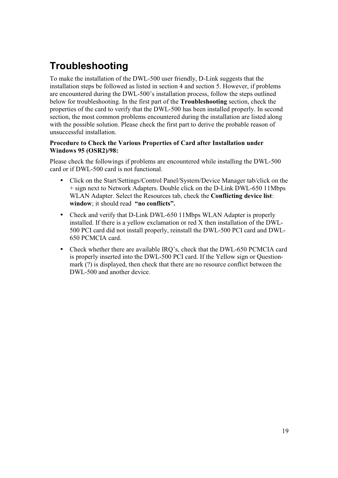## Troubleshooting

To make the installation of the DWL-500 user friendly, D-Link suggests that the installation steps be followed as listed in section 4 and section 5. However, if problems are encountered during the DWL-500's installation process, follow the steps outlined below for troubleshooting. In the first part of the **Troubleshooting** section, check the properties of the card to verify that the DWL-500 has been installed properly. In second section, the most common problems encountered during the installation are listed along with the possible solution. Please check the first part to derive the probable reason of unsuccessful installation.

#### Procedure to Check the Various Properties of Card after Installation under **Windows 95 (OSR2)/98:**

Please check the followings if problems are encountered while installing the DWL-500 card or if DWL-500 card is not functional.

- Click on the Start/Settings/Control Panel/System/Device Manager tab/click on the  $\bullet$ + sign next to Network Adapters. Double click on the D-Link DWL-650 11Mbps WLAN Adapter. Select the Resources tab. check the **Conflicting device list**: window: it should read "no conflicts".
- Check and verify that D-Link DWL-650 11Mbps WLAN Adapter is properly installed. If there is a yellow exclamation or red X then installation of the DWL-500 PCI card did not install properly, reinstall the DWL-500 PCI card and DWL-650 PCMCIA card.
- Check whether there are available IRQ's, check that the DWL-650 PCMCIA card  $\bullet$ is properly inserted into the DWL-500 PCI card. If the Yellow sign or Questionmark (?) is displayed, then check that there are no resource conflict between the DWL-500 and another device.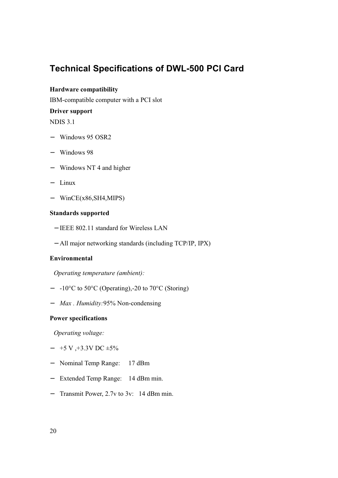## **Technical Specifications of DWL-500 PCI Card**

#### Hardware compatibility

IBM-compatible computer with a PCI slot

#### **Driver support**

**NDIS 3.1** 

- $-$  Windows 95 OSR2
- $-$  Windows 98
- Windows NT 4 and higher
- $-$  Linux
- $-$  WinCE(x86, SH4, MIPS)

#### **Standards supported**

- IEEE 802.11 standard for Wireless LAN
- All major networking standards (including TCP/IP, IPX)

#### Environmental

Operating temperature (ambient):

- $-$  -10<sup>o</sup>C to 50<sup>o</sup>C (Operating),-20 to 70<sup>o</sup>C (Storing)
- Max. Humidity:95% Non-condensing

#### **Power specifications**

Operating voltage:

- $-$  +5 V, +3.3V DC  $\pm$ 5%
- Nominal Temp Range:  $17$  dBm
- Extended Temp Range: 14 dBm min.
- Transmit Power, 2.7v to 3v: 14 dBm min.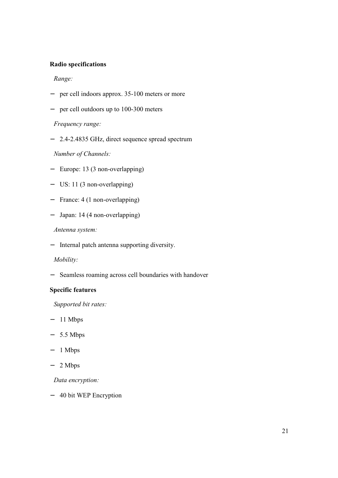#### **Radio specifications**

Range:

- per cell indoors approx. 35-100 meters or more
- $-$  per cell outdoors up to 100-300 meters

Frequency range:

- 2.4-2.4835 GHz, direct sequence spread spectrum

Number of Channels:

- Europe: 13 (3 non-overlapping)
- $-$  US: 11 (3 non-overlapping)
- France: 4 (1 non-overlapping)
- $-$  Japan: 14 (4 non-overlapping)

Antenna system:

- Internal patch antenna supporting diversity.

#### Mobility:

- Seamless roaming across cell boundaries with handover

#### **Specific features**

Supported bit rates:

- $-11$  Mbps
- $-5.5$  Mbps
- $-1$  Mbps
- $-2$  Mbps

Data encryption:

- 40 bit WEP Encryption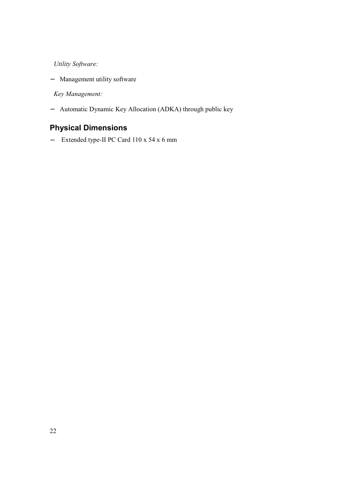**Utility Software:** 

- Management utility software

Key Management:

- Automatic Dynamic Key Allocation (ADKA) through public key

### **Physical Dimensions**

- Extended type-II PC Card 110 x 54 x 6 mm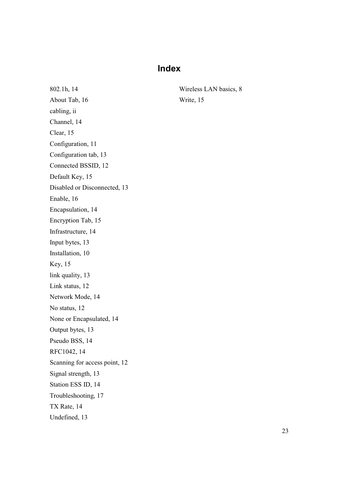## **Index**

802.1h, 14 About Tab, 16 cabling, ii Channel, 14 Clear, 15 Configuration, 11 Configuration tab, 13 Connected BSSID, 12 Default Key, 15 Disabled or Disconnected, 13 Enable, 16 Encapsulation, 14 Encryption Tab, 15 Infrastructure, 14 Input bytes, 13 Installation, 10 **Key**, 15 link quality, 13 Link status, 12 Network Mode, 14 No status, 12 None or Encapsulated, 14 Output bytes, 13 Pseudo BSS, 14 RFC1042, 14 Scanning for access point, 12 Signal strength, 13 Station ESS ID, 14 Troubleshooting, 17 TX Rate, 14 Undefined, 13

Wireless LAN basics, 8 Write, 15